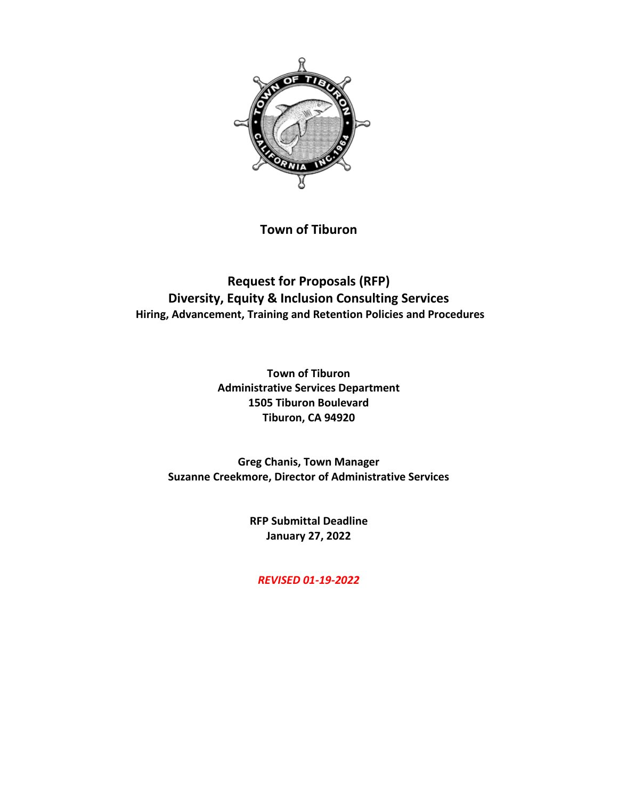

**Town of Tiburon**

**Request for Proposals (RFP) Diversity, Equity & Inclusion Consulting Services Hiring, Advancement, Training and Retention Policies and Procedures**

> **Town of Tiburon Administrative Services Department 1505 Tiburon Boulevard Tiburon, CA 94920**

**Greg Chanis, Town Manager Suzanne Creekmore, Director of Administrative Services**

> **RFP Submittal Deadline January 27, 2022**

*REVISED 01-19-2022*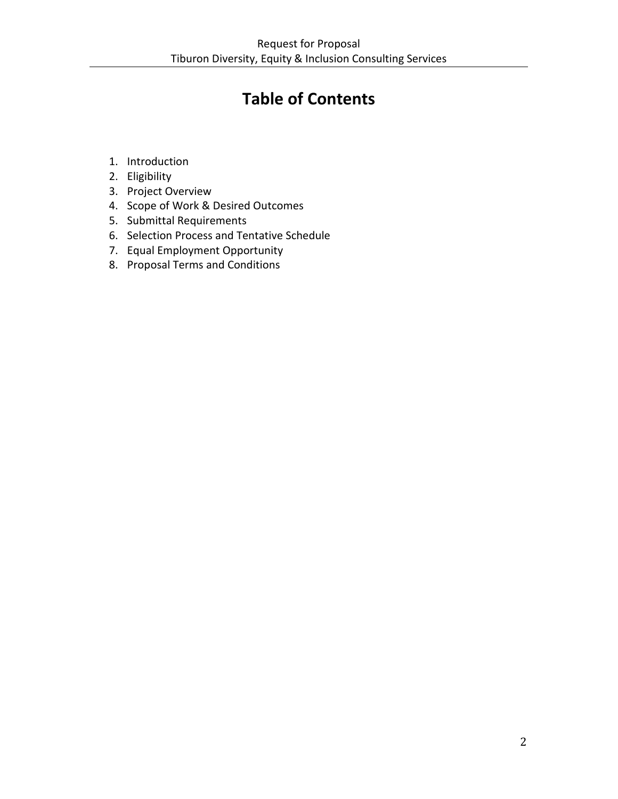# **Table of Contents**

- 1. Introduction
- 2. Eligibility
- 3. Project Overview
- 4. Scope of Work & Desired Outcomes
- 5. Submittal Requirements
- 6. Selection Process and Tentative Schedule
- 7. Equal Employment Opportunity
- 8. Proposal Terms and Conditions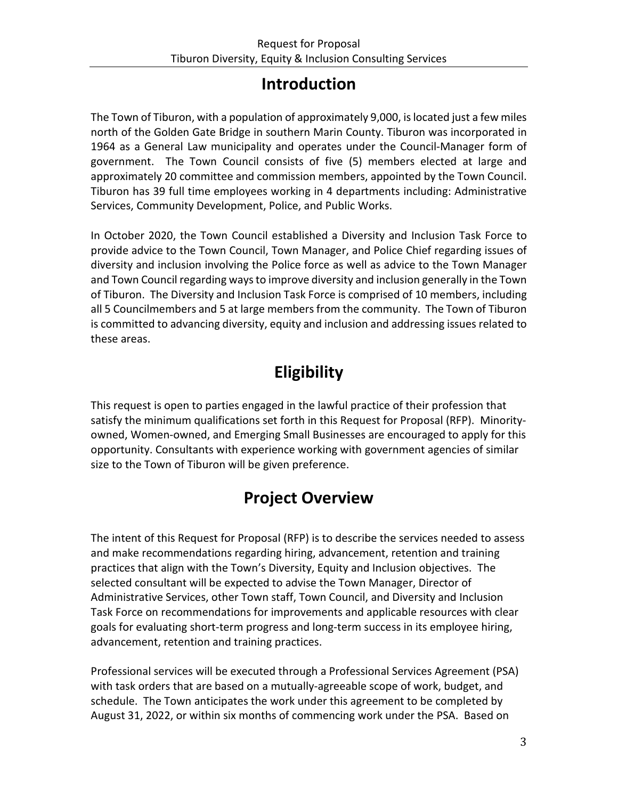## **Introduction**

The Town of Tiburon, with a population of approximately 9,000, is located just a few miles north of the Golden Gate Bridge in southern Marin County. Tiburon was incorporated in 1964 as a General Law municipality and operates under the Council-Manager form of government. The Town Council consists of five (5) members elected at large and approximately 20 committee and commission members, appointed by the Town Council. Tiburon has 39 full time employees working in 4 departments including: Administrative Services, Community Development, Police, and Public Works.

In October 2020, the Town Council established a Diversity and Inclusion Task Force to provide advice to the Town Council, Town Manager, and Police Chief regarding issues of diversity and inclusion involving the Police force as well as advice to the Town Manager and Town Council regarding ways to improve diversity and inclusion generally in the Town of Tiburon. The Diversity and Inclusion Task Force is comprised of 10 members, including all 5 Councilmembers and 5 at large members from the community. The Town of Tiburon is committed to advancing diversity, equity and inclusion and addressing issues related to these areas.

# **Eligibility**

This request is open to parties engaged in the lawful practice of their profession that satisfy the minimum qualifications set forth in this Request for Proposal (RFP). Minorityowned, Women-owned, and Emerging Small Businesses are encouraged to apply for this opportunity. Consultants with experience working with government agencies of similar size to the Town of Tiburon will be given preference.

## **Project Overview**

The intent of this Request for Proposal (RFP) is to describe the services needed to assess and make recommendations regarding hiring, advancement, retention and training practices that align with the Town's Diversity, Equity and Inclusion objectives. The selected consultant will be expected to advise the Town Manager, Director of Administrative Services, other Town staff, Town Council, and Diversity and Inclusion Task Force on recommendations for improvements and applicable resources with clear goals for evaluating short-term progress and long-term success in its employee hiring, advancement, retention and training practices.

Professional services will be executed through a Professional Services Agreement (PSA) with task orders that are based on a mutually-agreeable scope of work, budget, and schedule. The Town anticipates the work under this agreement to be completed by August 31, 2022, or within six months of commencing work under the PSA. Based on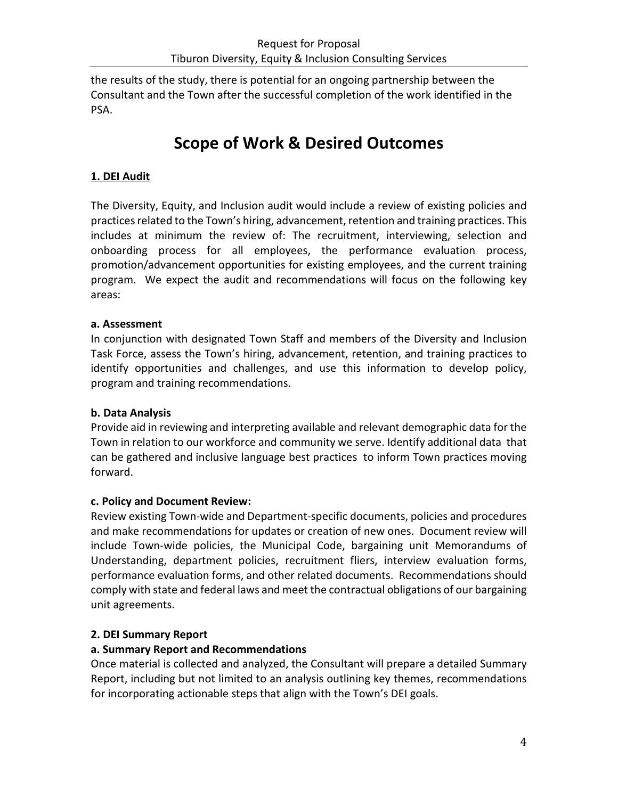the results of the study, there is potential for an ongoing partnership between the Consultant and the Town after the successful completion of the work identified in the PSA.

## **Scope of Work & Desired Outcomes**

## **1. DEI Audit**

The Diversity, Equity, and Inclusion audit would include a review of existing policies and practices related to the Town's hiring, advancement, retention and training practices. This includes at minimum the review of: The recruitment, interviewing, selection and onboarding process for all employees, the performance evaluation process, promotion/advancement opportunities for existing employees, and the current training program. We expect the audit and recommendations will focus on the following key areas:

### **a. Assessment**

In conjunction with designated Town Staff and members of the Diversity and Inclusion Task Force, assess the Town's hiring, advancement, retention, and training practices to identify opportunities and challenges, and use this information to develop policy, program and training recommendations.

### **b. Data Analysis**

Provide aid in reviewing and interpreting available and relevant demographic data for the Town in relation to our workforce and community we serve. Identify additional data that can be gathered and inclusive language best practices to inform Town practices moving forward.

### **c. Policy and Document Review:**

Review existing Town-wide and Department-specific documents, policies and procedures and make recommendations for updates or creation of new ones. Document review will include Town-wide policies, the Municipal Code, bargaining unit Memorandums of Understanding, department policies, recruitment fliers, interview evaluation forms, performance evaluation forms, and other related documents. Recommendations should comply with state and federal laws and meet the contractual obligations of our bargaining unit agreements.

### **2. DEI Summary Report**

#### **a. Summary Report and Recommendations**

Once material is collected and analyzed, the Consultant will prepare a detailed Summary Report, including but not limited to an analysis outlining key themes, recommendations for incorporating actionable steps that align with the Town's DEI goals.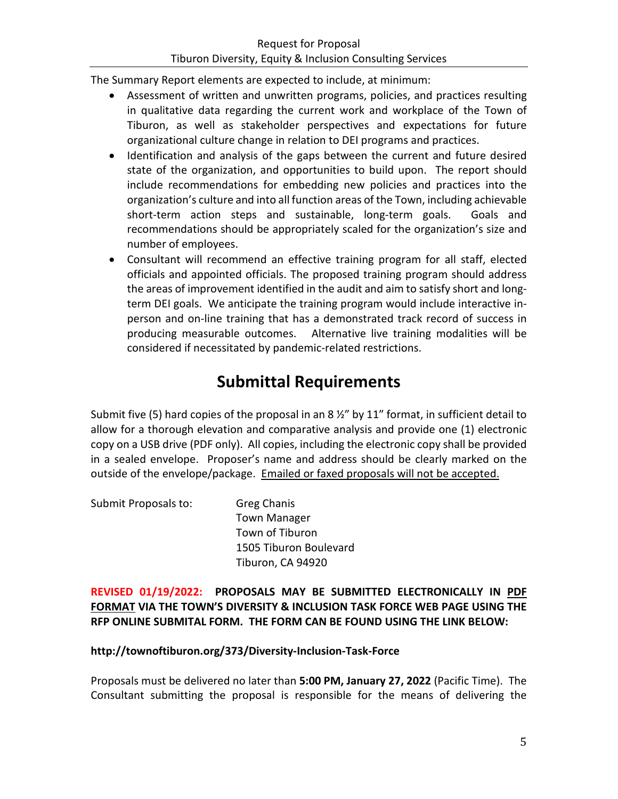The Summary Report elements are expected to include, at minimum:

- Assessment of written and unwritten programs, policies, and practices resulting in qualitative data regarding the current work and workplace of the Town of Tiburon, as well as stakeholder perspectives and expectations for future organizational culture change in relation to DEI programs and practices.
- Identification and analysis of the gaps between the current and future desired state of the organization, and opportunities to build upon. The report should include recommendations for embedding new policies and practices into the organization's culture and into all function areas of the Town, including achievable short-term action steps and sustainable, long-term goals. Goals and recommendations should be appropriately scaled for the organization's size and number of employees.
- Consultant will recommend an effective training program for all staff, elected officials and appointed officials. The proposed training program should address the areas of improvement identified in the audit and aim to satisfy short and longterm DEI goals. We anticipate the training program would include interactive inperson and on-line training that has a demonstrated track record of success in producing measurable outcomes. Alternative live training modalities will be considered if necessitated by pandemic-related restrictions.

## **Submittal Requirements**

Submit five (5) hard copies of the proposal in an 8  $\frac{1}{2}$  by 11" format, in sufficient detail to allow for a thorough elevation and comparative analysis and provide one (1) electronic copy on a USB drive (PDF only). All copies, including the electronic copy shall be provided in a sealed envelope. Proposer's name and address should be clearly marked on the outside of the envelope/package. Emailed or faxed proposals will not be accepted.

Submit Proposals to: Greg Chanis Town Manager Town of Tiburon 1505 Tiburon Boulevard Tiburon, CA 94920

**REVISED 01/19/2022: PROPOSALS MAY BE SUBMITTED ELECTRONICALLY IN PDF FORMAT VIA THE TOWN'S DIVERSITY & INCLUSION TASK FORCE WEB PAGE USING THE RFP ONLINE SUBMITAL FORM. THE FORM CAN BE FOUND USING THE LINK BELOW:**

### **http://townoftiburon.org/373/Diversity-Inclusion-Task-Force**

Proposals must be delivered no later than **5:00 PM, January 27, 2022** (Pacific Time). The Consultant submitting the proposal is responsible for the means of delivering the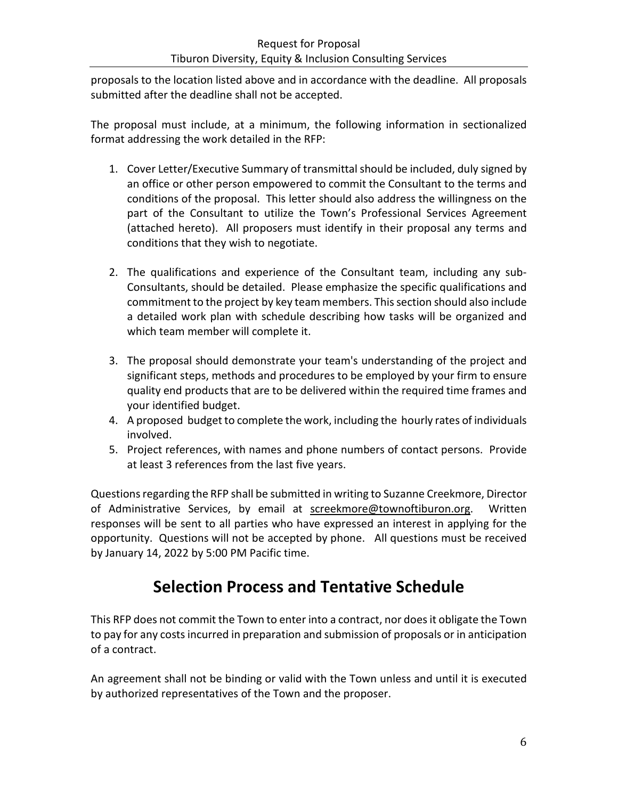### Request for Proposal Tiburon Diversity, Equity & Inclusion Consulting Services

proposals to the location listed above and in accordance with the deadline. All proposals submitted after the deadline shall not be accepted.

The proposal must include, at a minimum, the following information in sectionalized format addressing the work detailed in the RFP:

- 1. Cover Letter/Executive Summary of transmittal should be included, duly signed by an office or other person empowered to commit the Consultant to the terms and conditions of the proposal. This letter should also address the willingness on the part of the Consultant to utilize the Town's Professional Services Agreement (attached hereto). All proposers must identify in their proposal any terms and conditions that they wish to negotiate.
- 2. The qualifications and experience of the Consultant team, including any sub-Consultants, should be detailed. Please emphasize the specific qualifications and commitment to the project by key team members. This section should also include a detailed work plan with schedule describing how tasks will be organized and which team member will complete it.
- 3. The proposal should demonstrate your team's understanding of the project and significant steps, methods and procedures to be employed by your firm to ensure quality end products that are to be delivered within the required time frames and your identified budget.
- 4. A proposed budget to complete the work, including the hourly rates of individuals involved.
- 5. Project references, with names and phone numbers of contact persons. Provide at least 3 references from the last five years.

Questions regarding the RFP shall be submitted in writing to Suzanne Creekmore, Director of Administrative Services, by email at **screekmore@townoftiburon.org**. Written responses will be sent to all parties who have expressed an interest in applying for the opportunity. Questions will not be accepted by phone. All questions must be received by January 14, 2022 by 5:00 PM Pacific time.

## **Selection Process and Tentative Schedule**

This RFP does not commit the Town to enter into a contract, nor does it obligate the Town to pay for any costs incurred in preparation and submission of proposals or in anticipation of a contract.

An agreement shall not be binding or valid with the Town unless and until it is executed by authorized representatives of the Town and the proposer.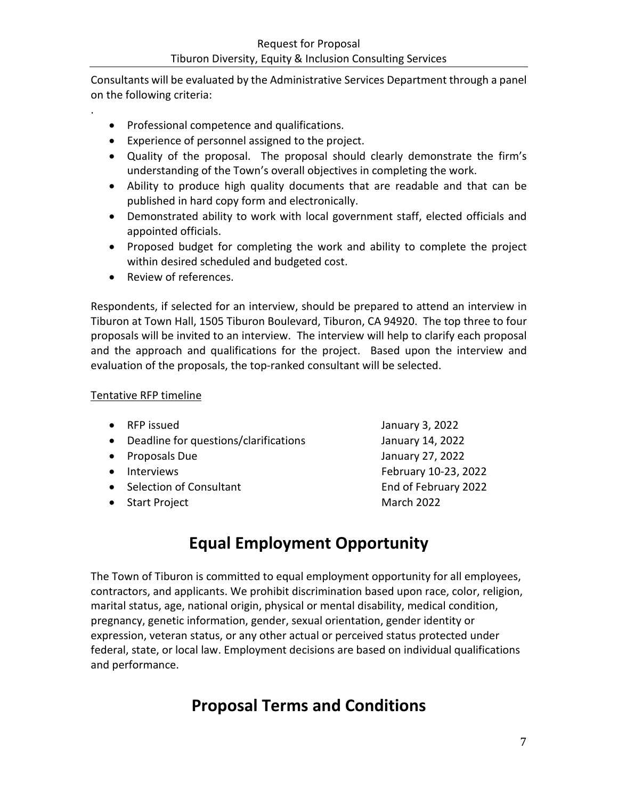Consultants will be evaluated by the Administrative Services Department through a panel on the following criteria:

- Professional competence and qualifications.
- Experience of personnel assigned to the project.
- Quality of the proposal. The proposal should clearly demonstrate the firm's understanding of the Town's overall objectives in completing the work.
- Ability to produce high quality documents that are readable and that can be published in hard copy form and electronically.
- Demonstrated ability to work with local government staff, elected officials and appointed officials.
- Proposed budget for completing the work and ability to complete the project within desired scheduled and budgeted cost.
- Review of references.

Respondents, if selected for an interview, should be prepared to attend an interview in Tiburon at Town Hall, 1505 Tiburon Boulevard, Tiburon, CA 94920. The top three to four proposals will be invited to an interview. The interview will help to clarify each proposal and the approach and qualifications for the project. Based upon the interview and evaluation of the proposals, the top-ranked consultant will be selected.

### Tentative RFP timeline

.

|           | • RFP issued                          | January 3, 2022      |
|-----------|---------------------------------------|----------------------|
| $\bullet$ | Deadline for questions/clarifications | January 14, 2022     |
| $\bullet$ | Proposals Due                         | January 27, 2022     |
| $\bullet$ | Interviews                            | February 10-23, 2022 |
|           | • Selection of Consultant             | End of February 2022 |
|           | • Start Project                       | March 2022           |
|           |                                       |                      |

## **Equal Employment Opportunity**

The Town of Tiburon is committed to equal employment opportunity for all employees, contractors, and applicants. We prohibit discrimination based upon race, color, religion, marital status, age, national origin, physical or mental disability, medical condition, pregnancy, genetic information, gender, sexual orientation, gender identity or expression, veteran status, or any other actual or perceived status protected under federal, state, or local law. Employment decisions are based on individual qualifications and performance.

## **Proposal Terms and Conditions**